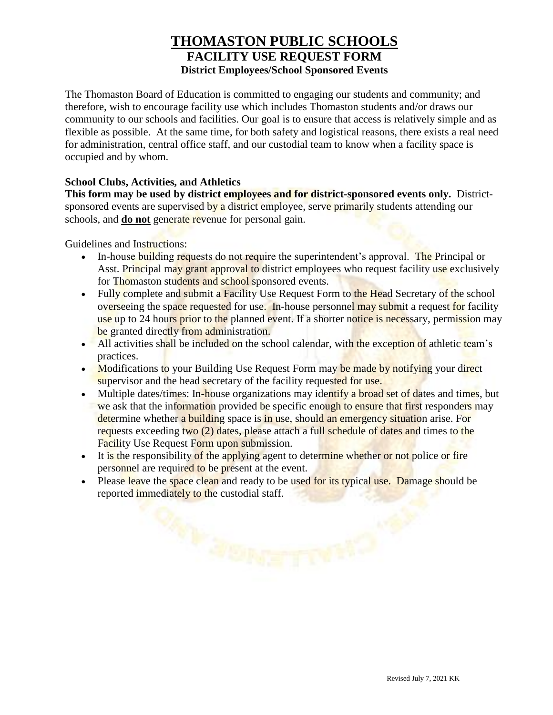## **THOMASTON PUBLIC SCHOOLS FACILITY USE REQUEST FORM District Employees/School Sponsored Events**

The Thomaston Board of Education is committed to engaging our students and community; and therefore, wish to encourage facility use which includes Thomaston students and/or draws our community to our schools and facilities. Our goal is to ensure that access is relatively simple and as flexible as possible. At the same time, for both safety and logistical reasons, there exists a real need for administration, central office staff, and our custodial team to know when a facility space is occupied and by whom.

## **School Clubs, Activities, and Athletics**

**This form may be used by district employees and for district-sponsored events only.** Districtsponsored events are supervised by a district employee, serve primarily students attending our schools, and **do not** generate revenue for personal gain.

Guidelines and Instructions:

- In-house building requests do not require the superintendent's approval. The Principal or Asst. Principal may grant approval to district employees who request facility use exclusively for Thomaston students and school sponsored events.
- Fully complete and submit a Facility Use Request Form to the Head Secretary of the school overseeing the space requested for use. In-house personnel may submit a request for facility use up to 24 hours prior to the planned event. If a shorter notice is necessary, permission may be granted directly from administration.
- All activities shall be included on the school calendar, with the exception of athletic team's practices.
- Modifications to your Building Use Request Form may be made by notifying your direct supervisor and the head secretary of the facility requested for use.
- Multiple dates/times: In-house organizations may identify a broad set of dates and times, but we ask that the information provided be specific enough to ensure that first responders may determine whether a building space is in use, should an emergency situation arise. For requests exceeding two (2) dates, please attach a full schedule of dates and times to the Facility Use Request Form upon submission.
- It is the responsibility of the applying agent to determine whether or not police or fire personnel are required to be present at the event.
- Please leave the space clean and ready to be used for its typical use. Damage should be reported immediately to the custodial staff.